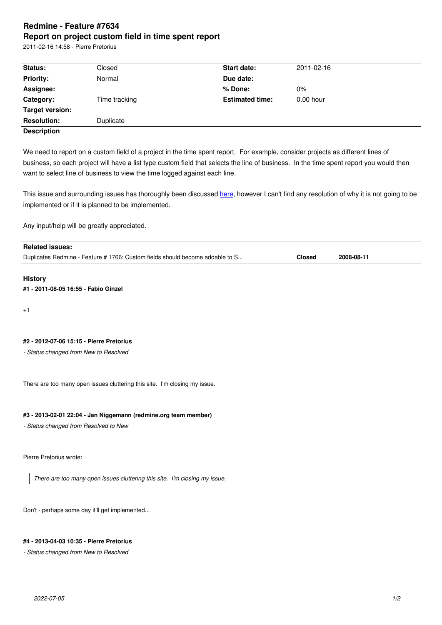#### **Report on project custom field in time spent report**

2011-02-16 14:58 - Pierre Pretorius

| Status:                | Closed                                                                                                                                                                                                                                                                     | <b>Start date:</b>     | 2011-02-16  |  |
|------------------------|----------------------------------------------------------------------------------------------------------------------------------------------------------------------------------------------------------------------------------------------------------------------------|------------------------|-------------|--|
| <b>Priority:</b>       | Normal                                                                                                                                                                                                                                                                     | Due date:              |             |  |
| Assignee:              |                                                                                                                                                                                                                                                                            | % Done:                | 0%          |  |
| Category:              | Time tracking                                                                                                                                                                                                                                                              | <b>Estimated time:</b> | $0.00$ hour |  |
| Target version:        |                                                                                                                                                                                                                                                                            |                        |             |  |
| <b>Resolution:</b>     | Duplicate                                                                                                                                                                                                                                                                  |                        |             |  |
| <b>Description</b>     |                                                                                                                                                                                                                                                                            |                        |             |  |
|                        | We need to report on a custom field of a project in the time spent report. For example, consider projects as different lines of<br>business, so each project will have a list type custom field that selects the line of business. In the time spent report you would then |                        |             |  |
|                        | want to select line of business to view the time logged against each line.<br>This issue and surrounding issues has thoroughly been discussed here, however I can't find any resolution of why it is not going to be<br>implemented or if it is planned to be implemented. |                        |             |  |
|                        | Any input/help will be greatly appreciated.                                                                                                                                                                                                                                |                        |             |  |
| <b>Related issues:</b> |                                                                                                                                                                                                                                                                            |                        |             |  |

## **History**

**#1 - 2011-08-05 16:55 - Fabio Ginzel**

+1

# **#2 - 2012-07-06 15:15 - Pierre Pretorius**

*- Status changed from New to Resolved*

There are too many open issues cluttering this site. I'm closing my issue.

### **#3 - 2013-02-01 22:04 - Jan Niggemann (redmine.org team member)**

*- Status changed from Resolved to New*

Pierre Pretorius wrote:

*There are too many open issues cluttering this site. I'm closing my issue.*

Don't - perhaps some day it'll get implemented...

## **#4 - 2013-04-03 10:35 - Pierre Pretorius**

*- Status changed from New to Resolved*